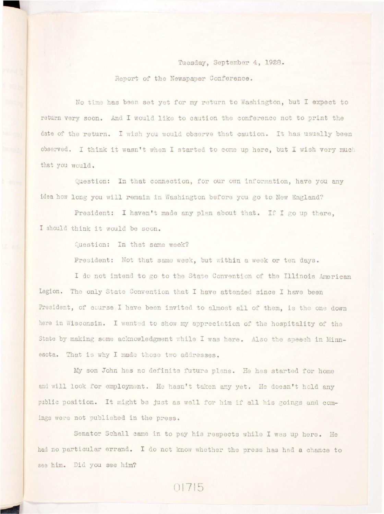Tuesday, September 4, 1928. Report of the Newspaper Conference.

**No time has been set yet for my return to Washington, but I expect to**  return very soon. And I would like to caution the conference not to print the **date of the return. I wish you would observe that caution. It has usually been**  observed. I think it wasn't when I started to come up here, but I wish very much **that you would.** 

**Question: In that connection, for our own information, have you any**  idea how long you will remain in Washington before you go to New England?

**President: I haven't made any plan about that. If I go up there,**  I should think it would be soon.

**Question: In that same week?** 

**President: Not that same week, but within a week or ten days.** 

I do not intend to go to the State Convention of the Illinois American **Legion. The only State Convention that I have attended since I have been**  President, of course I have been invited to almost all of them, is the one down **here in Wisconsin. I wanted to show my appreciation of the hospitality of the**  State by making some acknowledgment while I was here. Also the speech in Minnesota. That is why I made those two addresses.

My son John has no definite future plans. He has started for home and will look for employment. He hasn't taken any yet. He doesn't hold any public position. It might be just as well for him if all his goings and comings were not published in the press.

**Senator Schall came in to pay his respects while I was up here. He had no particular errand. I do not know whether the press has had a chance to see him. Did you see him?** 

01715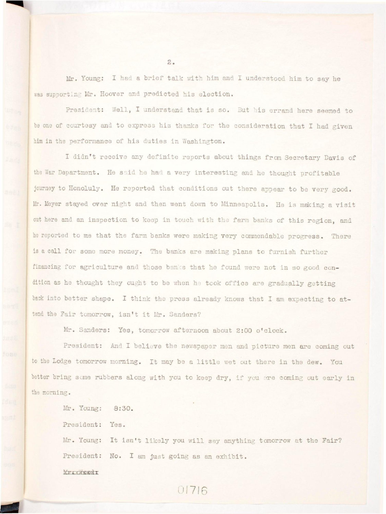Mr. Young: I had a brief talk with him and I understood him to say he was supporting Mr. Hoover and predicted his election.

President: Well, I understand that is so. But his errand here seemed to **be one of courtesy and to express his thanks for the consideration that I had given**  him in the performance of his duties in Washington.

I didn't receive any definite reports about things from Secretary Davis of the War Department. He said he had a very interesting and he thought profitable **journey to Honoluly. He reported that conditions out there appear to be very good.**  Mr. Meyer stayed over night and then went down to Minneapolis. He is making a visit out here and an inspection to keep in touch with the farm banks of this region, and **he reported to me that the farm banks were making very commendable progress. There is a call for some more money. The banks are making plans to furnish further**  financing for agriculture and those banks that he found were not in so good condition as he thought they ought to be when he took office are gradually getting back into better shape. I think the press already knows that I am expecting to attend the Fair tomorrow, isn't it Mr. Sanders?

**Mr. Sanders: Yes, tomorrow afternoon about 2:00 o'clock.** 

**President: And I believe the newspaper men and picture men are coming out**  to the Lodge tomorrow morning. It may be a little wet out there in the dew. You better bring some rubbers along with you to keep dry, if you are coming out early in **the morning.** 

**Mr. Young: 8:30.** 

President: Yes.

Mr. Young: It isn't likely you will say anything tomorrow at the Fair? **President: No. I am just going as an exhibit.** 

01716

MKXXXEBJi X

 $2.$